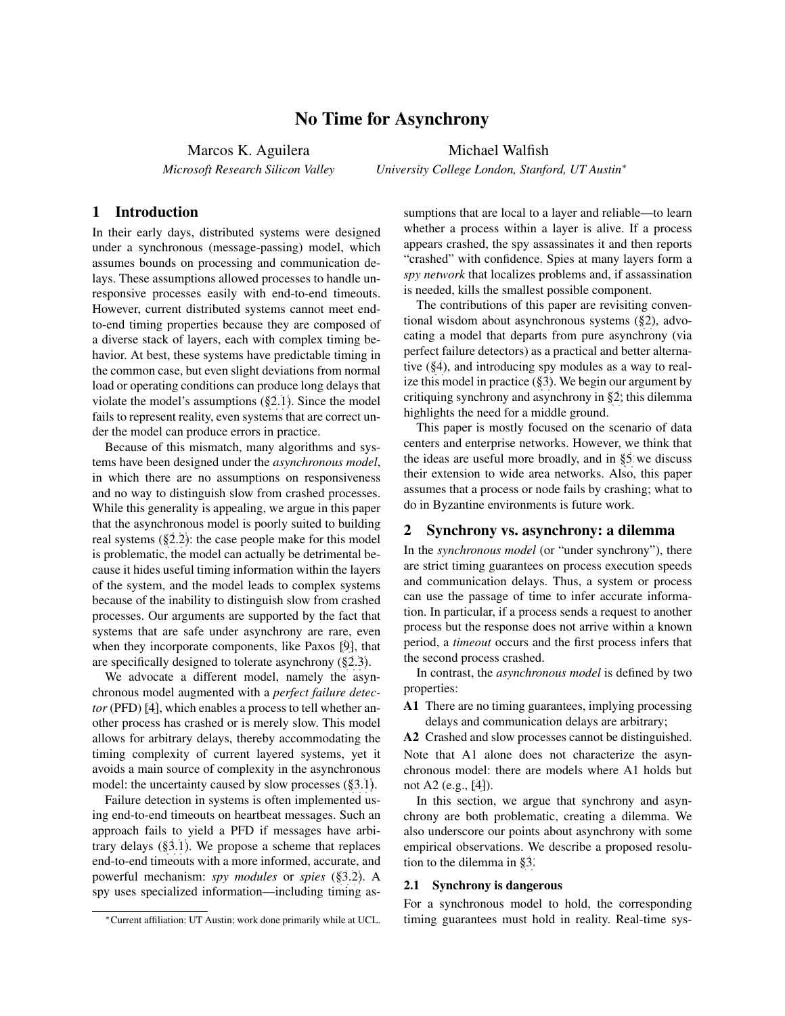# No Time for Asynchrony

Marcos K. Aguilera *Microsoft Research Silicon Valley* Michael Walfish

*University College London, Stanford, UT Austin*<sup>∗</sup>

## 1 Introduction

In their early days, distributed systems were designed under a synchronous (message-passing) model, which assumes bounds on processing and communication delays. These assumptions allowed processes to handle unresponsive processes easily with end-to-end timeouts. However, current distributed systems cannot meet endto-end timing properties because they are composed of a diverse stack of layers, each with complex timing behavior. At best, these systems have predictable timing in the common case, but even slight deviations from normal load or operating conditions can produce long delays that violate the model's assumptions ([§2.1\)](#page-0-0). Since the model fails to represent reality, even systems that are correct under the model can produce errors in practice.

Because of this mismatch, many algorithms and systems have been designed under the *asynchronous model*, in which there are no assumptions on responsiveness and no way to distinguish slow from crashed processes. While this generality is appealing, we argue in this paper that the asynchronous model is poorly suited to building real systems ([§2.2\)](#page-1-0): the case people make for this model is problematic, the model can actually be detrimental because it hides useful timing information within the layers of the system, and the model leads to complex systems because of the inability to distinguish slow from crashed processes. Our arguments are supported by the fact that systems that are safe under asynchrony are rare, even when they incorporate components, like Paxos [\[9\]](#page-4-0), that are specifically designed to tolerate asynchrony ([§2.3\)](#page-1-1).

We advocate a different model, namely the asynchronous model augmented with a *perfect failure detector* (PFD) [\[4\]](#page-4-1), which enables a process to tell whether another process has crashed or is merely slow. This model allows for arbitrary delays, thereby accommodating the timing complexity of current layered systems, yet it avoids a main source of complexity in the asynchronous model: the uncertainty caused by slow processes ([§3.1\)](#page-2-0).

Failure detection in systems is often implemented using end-to-end timeouts on heartbeat messages. Such an approach fails to yield a PFD if messages have arbitrary delays ([§3.1\)](#page-2-0). We propose a scheme that replaces end-to-end timeouts with a more informed, accurate, and powerful mechanism: *spy modules* or *spies* ([§3.2\)](#page-3-0). A spy uses specialized information—including timing assumptions that are local to a layer and reliable—to learn whether a process within a layer is alive. If a process appears crashed, the spy assassinates it and then reports "crashed" with confidence. Spies at many layers form a *spy network* that localizes problems and, if assassination is needed, kills the smallest possible component.

The contributions of this paper are revisiting conventional wisdom about asynchronous systems ([§2\)](#page-0-1), advocating a model that departs from pure asynchrony (via perfect failure detectors) as a practical and better alternative ([§4\)](#page-4-2), and introducing spy modules as a way to realize this model in practice ([§3\)](#page-2-1). We begin our argument by critiquing synchrony and asynchrony in [§2;](#page-0-1) this dilemma highlights the need for a middle ground.

This paper is mostly focused on the scenario of data centers and enterprise networks. However, we think that the ideas are useful more broadly, and in [§5](#page-4-3) we discuss their extension to wide area networks. Also, this paper assumes that a process or node fails by crashing; what to do in Byzantine environments is future work.

### <span id="page-0-1"></span>2 Synchrony vs. asynchrony: a dilemma

In the *synchronous model* (or "under synchrony"), there are strict timing guarantees on process execution speeds and communication delays. Thus, a system or process can use the passage of time to infer accurate information. In particular, if a process sends a request to another process but the response does not arrive within a known period, a *timeout* occurs and the first process infers that the second process crashed.

In contrast, the *asynchronous model* is defined by two properties:

A1 There are no timing guarantees, implying processing delays and communication delays are arbitrary;

A2 Crashed and slow processes cannot be distinguished. Note that A1 alone does not characterize the asynchronous model: there are models where A1 holds but not A2 (e.g., [\[4\]](#page-4-1)).

In this section, we argue that synchrony and asynchrony are both problematic, creating a dilemma. We also underscore our points about asynchrony with some empirical observations. We describe a proposed resolution to the dilemma in [§3.](#page-2-1)

#### <span id="page-0-0"></span>2.1 Synchrony is dangerous

For a synchronous model to hold, the corresponding timing guarantees must hold in reality. Real-time sys-

<sup>∗</sup>Current affiliation: UT Austin; work done primarily while at UCL.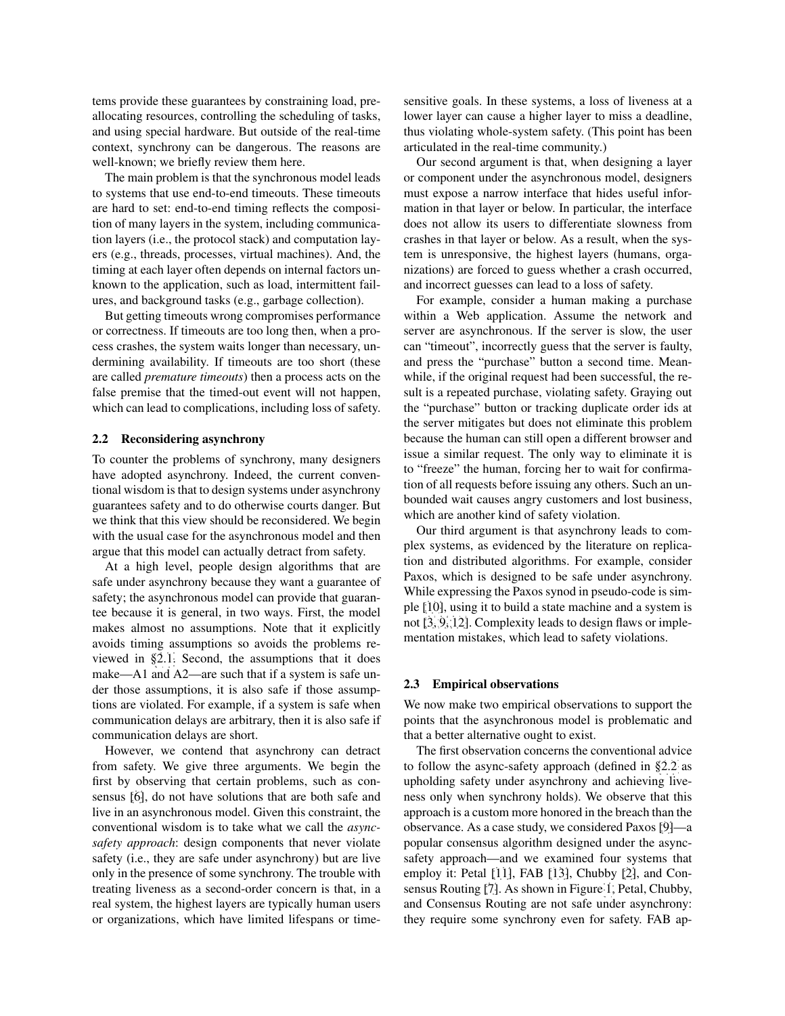tems provide these guarantees by constraining load, preallocating resources, controlling the scheduling of tasks, and using special hardware. But outside of the real-time context, synchrony can be dangerous. The reasons are well-known; we briefly review them here.

The main problem is that the synchronous model leads to systems that use end-to-end timeouts. These timeouts are hard to set: end-to-end timing reflects the composition of many layers in the system, including communication layers (i.e., the protocol stack) and computation layers (e.g., threads, processes, virtual machines). And, the timing at each layer often depends on internal factors unknown to the application, such as load, intermittent failures, and background tasks (e.g., garbage collection).

But getting timeouts wrong compromises performance or correctness. If timeouts are too long then, when a process crashes, the system waits longer than necessary, undermining availability. If timeouts are too short (these are called *premature timeouts*) then a process acts on the false premise that the timed-out event will not happen, which can lead to complications, including loss of safety.

#### <span id="page-1-0"></span>2.2 Reconsidering asynchrony

To counter the problems of synchrony, many designers have adopted asynchrony. Indeed, the current conventional wisdom is that to design systems under asynchrony guarantees safety and to do otherwise courts danger. But we think that this view should be reconsidered. We begin with the usual case for the asynchronous model and then argue that this model can actually detract from safety.

At a high level, people design algorithms that are safe under asynchrony because they want a guarantee of safety; the asynchronous model can provide that guarantee because it is general, in two ways. First, the model makes almost no assumptions. Note that it explicitly avoids timing assumptions so avoids the problems reviewed in [§2.1.](#page-0-0) Second, the assumptions that it does make—A1 and A2—are such that if a system is safe under those assumptions, it is also safe if those assumptions are violated. For example, if a system is safe when communication delays are arbitrary, then it is also safe if communication delays are short.

However, we contend that asynchrony can detract from safety. We give three arguments. We begin the first by observing that certain problems, such as consensus [\[6\]](#page-4-4), do not have solutions that are both safe and live in an asynchronous model. Given this constraint, the conventional wisdom is to take what we call the *asyncsafety approach*: design components that never violate safety (i.e., they are safe under asynchrony) but are live only in the presence of some synchrony. The trouble with treating liveness as a second-order concern is that, in a real system, the highest layers are typically human users or organizations, which have limited lifespans or timesensitive goals. In these systems, a loss of liveness at a lower layer can cause a higher layer to miss a deadline, thus violating whole-system safety. (This point has been articulated in the real-time community.)

Our second argument is that, when designing a layer or component under the asynchronous model, designers must expose a narrow interface that hides useful information in that layer or below. In particular, the interface does not allow its users to differentiate slowness from crashes in that layer or below. As a result, when the system is unresponsive, the highest layers (humans, organizations) are forced to guess whether a crash occurred, and incorrect guesses can lead to a loss of safety.

For example, consider a human making a purchase within a Web application. Assume the network and server are asynchronous. If the server is slow, the user can "timeout", incorrectly guess that the server is faulty, and press the "purchase" button a second time. Meanwhile, if the original request had been successful, the result is a repeated purchase, violating safety. Graying out the "purchase" button or tracking duplicate order ids at the server mitigates but does not eliminate this problem because the human can still open a different browser and issue a similar request. The only way to eliminate it is to "freeze" the human, forcing her to wait for confirmation of all requests before issuing any others. Such an unbounded wait causes angry customers and lost business, which are another kind of safety violation.

Our third argument is that asynchrony leads to complex systems, as evidenced by the literature on replication and distributed algorithms. For example, consider Paxos, which is designed to be safe under asynchrony. While expressing the Paxos synod in pseudo-code is simple [\[10\]](#page-4-5), using it to build a state machine and a system is not [\[3,](#page-4-6) [9,](#page-4-0) [12\]](#page-4-7). Complexity leads to design flaws or implementation mistakes, which lead to safety violations.

### <span id="page-1-1"></span>2.3 Empirical observations

We now make two empirical observations to support the points that the asynchronous model is problematic and that a better alternative ought to exist.

The first observation concerns the conventional advice to follow the async-safety approach (defined in [§2.2](#page-1-0) as upholding safety under asynchrony and achieving liveness only when synchrony holds). We observe that this approach is a custom more honored in the breach than the observance. As a case study, we considered Paxos [\[9\]](#page-4-0)—a popular consensus algorithm designed under the asyncsafety approach—and we examined four systems that employ it: Petal [\[11\]](#page-4-8), FAB [\[13\]](#page-4-9), Chubby [\[2\]](#page-4-10), and Consensus Routing [\[7\]](#page-4-11). As shown in Figure [1,](#page-2-2) Petal, Chubby, and Consensus Routing are not safe under asynchrony: they require some synchrony even for safety. FAB ap-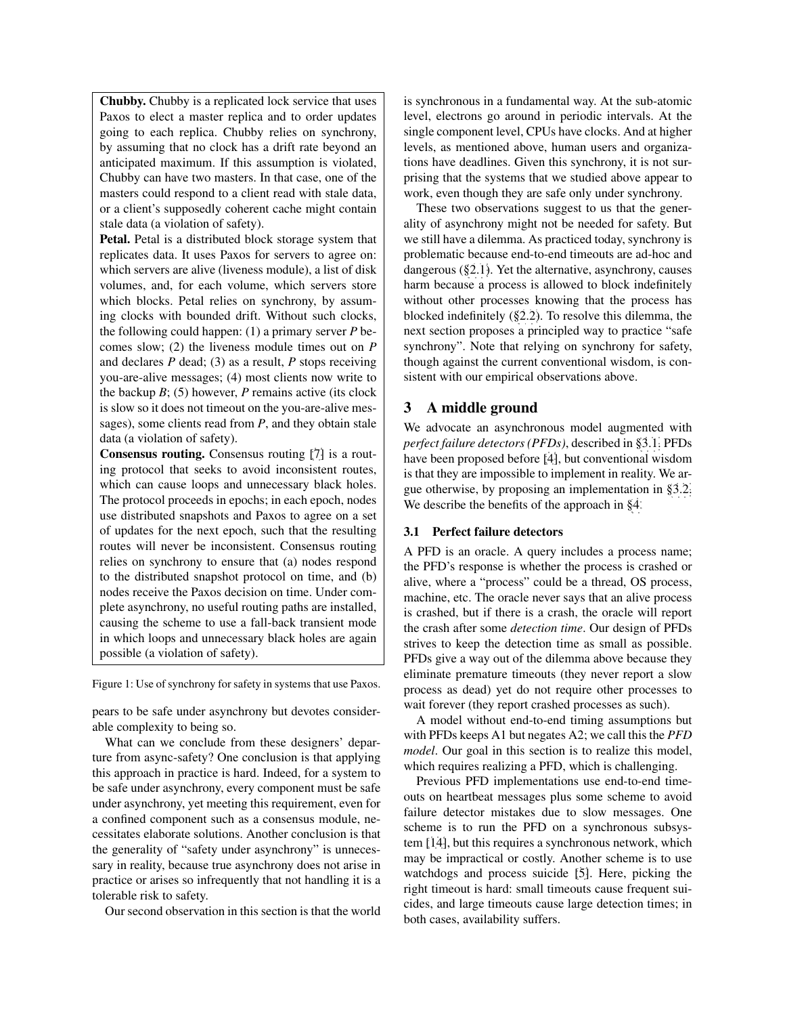Chubby. Chubby is a replicated lock service that uses Paxos to elect a master replica and to order updates going to each replica. Chubby relies on synchrony, by assuming that no clock has a drift rate beyond an anticipated maximum. If this assumption is violated, Chubby can have two masters. In that case, one of the masters could respond to a client read with stale data, or a client's supposedly coherent cache might contain stale data (a violation of safety).

Petal. Petal is a distributed block storage system that replicates data. It uses Paxos for servers to agree on: which servers are alive (liveness module), a list of disk volumes, and, for each volume, which servers store which blocks. Petal relies on synchrony, by assuming clocks with bounded drift. Without such clocks, the following could happen: (1) a primary server *P* becomes slow; (2) the liveness module times out on *P* and declares *P* dead; (3) as a result, *P* stops receiving you-are-alive messages; (4) most clients now write to the backup *B*; (5) however, *P* remains active (its clock is slow so it does not timeout on the you-are-alive messages), some clients read from *P*, and they obtain stale data (a violation of safety).

Consensus routing. Consensus routing [\[7\]](#page-4-11) is a routing protocol that seeks to avoid inconsistent routes, which can cause loops and unnecessary black holes. The protocol proceeds in epochs; in each epoch, nodes use distributed snapshots and Paxos to agree on a set of updates for the next epoch, such that the resulting routes will never be inconsistent. Consensus routing relies on synchrony to ensure that (a) nodes respond to the distributed snapshot protocol on time, and (b) nodes receive the Paxos decision on time. Under complete asynchrony, no useful routing paths are installed, causing the scheme to use a fall-back transient mode in which loops and unnecessary black holes are again possible (a violation of safety).

<span id="page-2-2"></span>Figure 1: Use of synchrony for safety in systems that use Paxos.

pears to be safe under asynchrony but devotes considerable complexity to being so.

What can we conclude from these designers' departure from async-safety? One conclusion is that applying this approach in practice is hard. Indeed, for a system to be safe under asynchrony, every component must be safe under asynchrony, yet meeting this requirement, even for a confined component such as a consensus module, necessitates elaborate solutions. Another conclusion is that the generality of "safety under asynchrony" is unnecessary in reality, because true asynchrony does not arise in practice or arises so infrequently that not handling it is a tolerable risk to safety.

Our second observation in this section is that the world

is synchronous in a fundamental way. At the sub-atomic level, electrons go around in periodic intervals. At the single component level, CPUs have clocks. And at higher levels, as mentioned above, human users and organizations have deadlines. Given this synchrony, it is not surprising that the systems that we studied above appear to work, even though they are safe only under synchrony.

These two observations suggest to us that the generality of asynchrony might not be needed for safety. But we still have a dilemma. As practiced today, synchrony is problematic because end-to-end timeouts are ad-hoc and dangerous ([§2.1\)](#page-0-0). Yet the alternative, asynchrony, causes harm because a process is allowed to block indefinitely without other processes knowing that the process has blocked indefinitely ([§2.2\)](#page-1-0). To resolve this dilemma, the next section proposes a principled way to practice "safe synchrony". Note that relying on synchrony for safety, though against the current conventional wisdom, is consistent with our empirical observations above.

## <span id="page-2-1"></span>3 A middle ground

We advocate an asynchronous model augmented with *perfect failure detectors (PFDs)*, described in [§3.1.](#page-2-0) PFDs have been proposed before [\[4\]](#page-4-1), but conventional wisdom is that they are impossible to implement in reality. We argue otherwise, by proposing an implementation in [§3.2.](#page-3-0) We describe the benefits of the approach in [§4.](#page-4-2)

### <span id="page-2-0"></span>3.1 Perfect failure detectors

A PFD is an oracle. A query includes a process name; the PFD's response is whether the process is crashed or alive, where a "process" could be a thread, OS process, machine, etc. The oracle never says that an alive process is crashed, but if there is a crash, the oracle will report the crash after some *detection time*. Our design of PFDs strives to keep the detection time as small as possible. PFDs give a way out of the dilemma above because they eliminate premature timeouts (they never report a slow process as dead) yet do not require other processes to wait forever (they report crashed processes as such).

A model without end-to-end timing assumptions but with PFDs keeps A1 but negates A2; we call this the *PFD model*. Our goal in this section is to realize this model, which requires realizing a PFD, which is challenging.

Previous PFD implementations use end-to-end timeouts on heartbeat messages plus some scheme to avoid failure detector mistakes due to slow messages. One scheme is to run the PFD on a synchronous subsystem [\[14\]](#page-4-12), but this requires a synchronous network, which may be impractical or costly. Another scheme is to use watchdogs and process suicide [\[5\]](#page-4-13). Here, picking the right timeout is hard: small timeouts cause frequent suicides, and large timeouts cause large detection times; in both cases, availability suffers.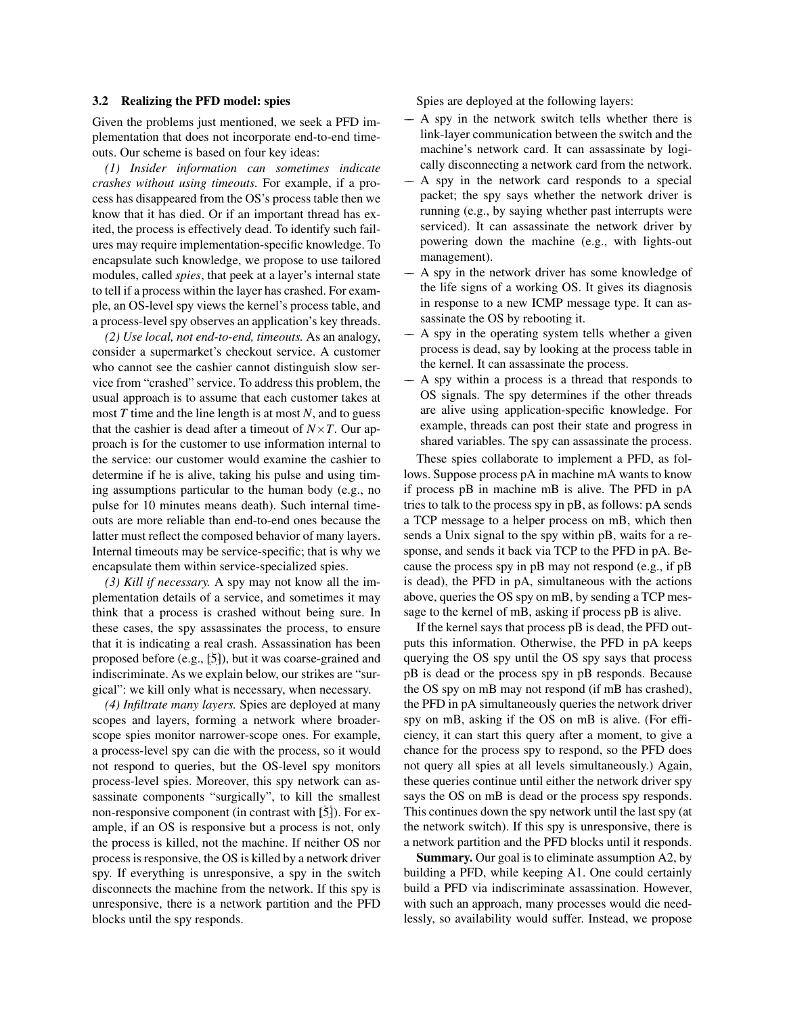#### <span id="page-3-0"></span>3.2 Realizing the PFD model: spies

Given the problems just mentioned, we seek a PFD implementation that does not incorporate end-to-end timeouts. Our scheme is based on four key ideas:

*(1) Insider information can sometimes indicate crashes without using timeouts.* For example, if a process has disappeared from the OS's process table then we know that it has died. Or if an important thread has exited, the process is effectively dead. To identify such failures may require implementation-specific knowledge. To encapsulate such knowledge, we propose to use tailored modules, called *spies*, that peek at a layer's internal state to tell if a process within the layer has crashed. For example, an OS-level spy views the kernel's process table, and a process-level spy observes an application's key threads.

*(2) Use local, not end-to-end, timeouts.* As an analogy, consider a supermarket's checkout service. A customer who cannot see the cashier cannot distinguish slow service from "crashed" service. To address this problem, the usual approach is to assume that each customer takes at most *T* time and the line length is at most *N*, and to guess that the cashier is dead after a timeout of  $N \times T$ . Our approach is for the customer to use information internal to the service: our customer would examine the cashier to determine if he is alive, taking his pulse and using timing assumptions particular to the human body (e.g., no pulse for 10 minutes means death). Such internal timeouts are more reliable than end-to-end ones because the latter must reflect the composed behavior of many layers. Internal timeouts may be service-specific; that is why we encapsulate them within service-specialized spies.

*(3) Kill if necessary.* A spy may not know all the implementation details of a service, and sometimes it may think that a process is crashed without being sure. In these cases, the spy assassinates the process, to ensure that it is indicating a real crash. Assassination has been proposed before (e.g., [\[5\]](#page-4-13)), but it was coarse-grained and indiscriminate. As we explain below, our strikes are "surgical": we kill only what is necessary, when necessary.

*(4) Infiltrate many layers.* Spies are deployed at many scopes and layers, forming a network where broaderscope spies monitor narrower-scope ones. For example, a process-level spy can die with the process, so it would not respond to queries, but the OS-level spy monitors process-level spies. Moreover, this spy network can assassinate components "surgically", to kill the smallest non-responsive component (in contrast with [\[5\]](#page-4-13)). For example, if an OS is responsive but a process is not, only the process is killed, not the machine. If neither OS nor process is responsive, the OS is killed by a network driver spy. If everything is unresponsive, a spy in the switch disconnects the machine from the network. If this spy is unresponsive, there is a network partition and the PFD blocks until the spy responds.

Spies are deployed at the following layers:

- –– A spy in the network switch tells whether there is link-layer communication between the switch and the machine's network card. It can assassinate by logically disconnecting a network card from the network.
- –– A spy in the network card responds to a special packet; the spy says whether the network driver is running (e.g., by saying whether past interrupts were serviced). It can assassinate the network driver by powering down the machine (e.g., with lights-out management).
- –– A spy in the network driver has some knowledge of the life signs of a working OS. It gives its diagnosis in response to a new ICMP message type. It can assassinate the OS by rebooting it.
- –– A spy in the operating system tells whether a given process is dead, say by looking at the process table in the kernel. It can assassinate the process.
- –– A spy within a process is a thread that responds to OS signals. The spy determines if the other threads are alive using application-specific knowledge. For example, threads can post their state and progress in shared variables. The spy can assassinate the process.

These spies collaborate to implement a PFD, as follows. Suppose process pA in machine mA wants to know if process pB in machine mB is alive. The PFD in pA tries to talk to the process spy in pB, as follows: pA sends a TCP message to a helper process on mB, which then sends a Unix signal to the spy within pB, waits for a response, and sends it back via TCP to the PFD in pA. Because the process spy in pB may not respond (e.g., if pB is dead), the PFD in pA, simultaneous with the actions above, queries the OS spy on mB, by sending a TCP message to the kernel of mB, asking if process pB is alive.

If the kernel says that process pB is dead, the PFD outputs this information. Otherwise, the PFD in pA keeps querying the OS spy until the OS spy says that process pB is dead or the process spy in pB responds. Because the OS spy on mB may not respond (if mB has crashed), the PFD in pA simultaneously queries the network driver spy on mB, asking if the OS on mB is alive. (For efficiency, it can start this query after a moment, to give a chance for the process spy to respond, so the PFD does not query all spies at all levels simultaneously.) Again, these queries continue until either the network driver spy says the OS on mB is dead or the process spy responds. This continues down the spy network until the last spy (at the network switch). If this spy is unresponsive, there is a network partition and the PFD blocks until it responds.

Summary. Our goal is to eliminate assumption A2, by building a PFD, while keeping A1. One could certainly build a PFD via indiscriminate assassination. However, with such an approach, many processes would die needlessly, so availability would suffer. Instead, we propose